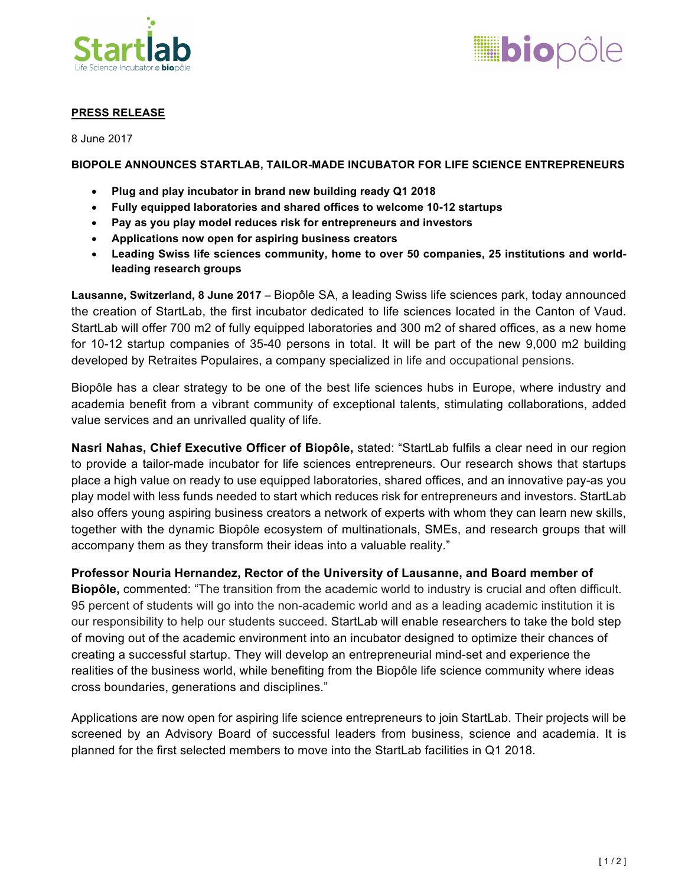



# **PRESS RELEASE**

8 June 2017

# **BIOPOLE ANNOUNCES STARTLAB, TAILOR-MADE INCUBATOR FOR LIFE SCIENCE ENTREPRENEURS**

- **Plug and play incubator in brand new building ready Q1 2018**
- **Fully equipped laboratories and shared offices to welcome 10-12 startups**
- **Pay as you play model reduces risk for entrepreneurs and investors**
- **Applications now open for aspiring business creators**
- **Leading Swiss life sciences community, home to over 50 companies, 25 institutions and worldleading research groups**

**Lausanne, Switzerland, 8 June 2017** – Biopôle SA, a leading Swiss life sciences park, today announced the creation of StartLab, the first incubator dedicated to life sciences located in the Canton of Vaud. StartLab will offer 700 m2 of fully equipped laboratories and 300 m2 of shared offices, as a new home for 10-12 startup companies of 35-40 persons in total. It will be part of the new 9,000 m2 building developed by Retraites Populaires, a company specialized in life and occupational pensions.

Biopôle has a clear strategy to be one of the best life sciences hubs in Europe, where industry and academia benefit from a vibrant community of exceptional talents, stimulating collaborations, added value services and an unrivalled quality of life.

**Nasri Nahas, Chief Executive Officer of Biopôle,** stated: "StartLab fulfils a clear need in our region to provide a tailor-made incubator for life sciences entrepreneurs. Our research shows that startups place a high value on ready to use equipped laboratories, shared offices, and an innovative pay-as you play model with less funds needed to start which reduces risk for entrepreneurs and investors. StartLab also offers young aspiring business creators a network of experts with whom they can learn new skills, together with the dynamic Biopôle ecosystem of multinationals, SMEs, and research groups that will accompany them as they transform their ideas into a valuable reality."

**Professor Nouria Hernandez, Rector of the University of Lausanne, and Board member of Biopôle,** commented: "The transition from the academic world to industry is crucial and often difficult. 95 percent of students will go into the non-academic world and as a leading academic institution it is our responsibility to help our students succeed. StartLab will enable researchers to take the bold step of moving out of the academic environment into an incubator designed to optimize their chances of creating a successful startup. They will develop an entrepreneurial mind-set and experience the realities of the business world, while benefiting from the Biopôle life science community where ideas cross boundaries, generations and disciplines."

Applications are now open for aspiring life science entrepreneurs to join StartLab. Their projects will be screened by an Advisory Board of successful leaders from business, science and academia. It is planned for the first selected members to move into the StartLab facilities in Q1 2018.